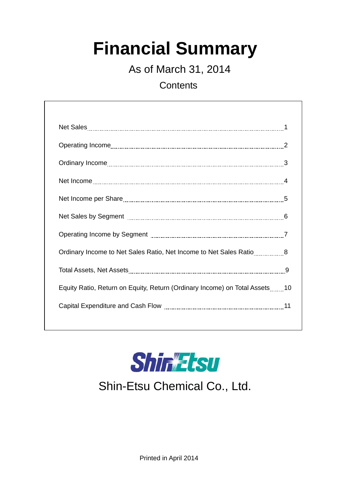# **Financial Summary**

As of March 31, 2014

**Contents** 

| Ordinary Income to Net Sales Ratio, Net Income to Net Sales Ratio8         |  |
|----------------------------------------------------------------------------|--|
|                                                                            |  |
| Equity Ratio, Return on Equity, Return (Ordinary Income) on Total Assets10 |  |
|                                                                            |  |
|                                                                            |  |



## Shin-Etsu Chemical Co., Ltd.

Printed in April 2014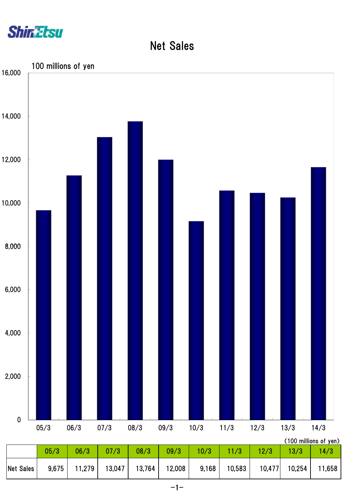

Net Sales

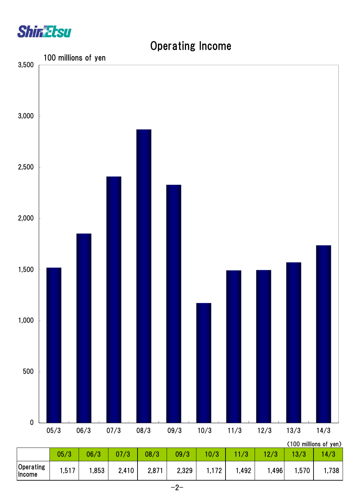

# (100 millions of yen)  $\overline{0}$ 500 1,000 1,500 2,000 2,500 3,000 3,500 05/3 06/3 07/3 08/3 09/3 10/3 11/3 12/3 13/3 14/3 100 millions of yen

|                     |       |      |       |       |       |       |       |      |      | (100 millions of yen) |
|---------------------|-------|------|-------|-------|-------|-------|-------|------|------|-----------------------|
|                     | 05/3  | 06/3 |       | 08/3  | 09/3  | 10/3  | /3    | 12/3 |      | 4/3                   |
| Operating<br>Income | 1,517 | ,853 | 2,410 | 2,871 | 2,329 | 1,172 | 1,492 | ,496 | ,570 | ا,738                 |

### Operating Income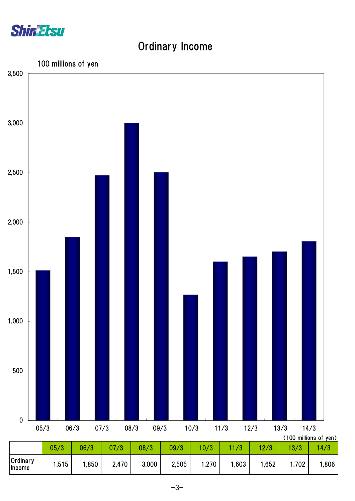

#### Ordinary Income



 $-3-$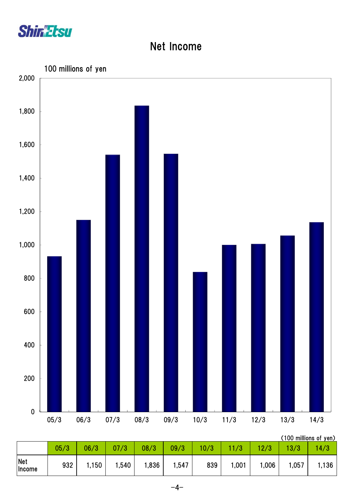

#### Net Income



| Net<br>Income | 932 | .150 | ,540 | ,836 | 1,547 | 839 | 1,001 | ,006 | 1,057 | 1,136 |
|---------------|-----|------|------|------|-------|-----|-------|------|-------|-------|
|               |     |      |      |      |       |     |       |      |       |       |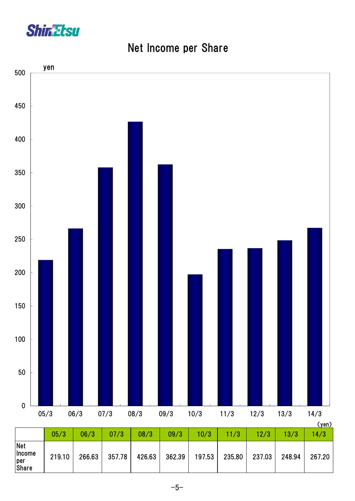

#### Net Income per Share

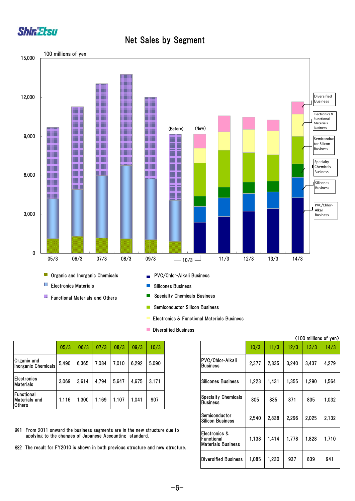

#### Net Sales by Segment



- Electronics & Functional Materials Business
- **Diversified Business**

|                                           | 05/3  | 06/3  | 07/3  | 08/3  | 09/3  | 10/3  |
|-------------------------------------------|-------|-------|-------|-------|-------|-------|
| Organic and<br><b>Inorganic Chemicals</b> | 5,490 | 6,365 | 7,084 | 7.010 | 6,292 | 5,090 |
| <b>Electronics</b><br><b>Materials</b>    | 3,069 | 3,614 | 4,794 | 5,647 | 4,675 | 3,171 |
| Functional<br><b>Materials and</b>        | 1,116 | .300  | 1.169 | 1,107 | .041  | 907   |

※1 From 2011 onward the business segments are in the new structure due to applying to the changes of Japanese Accounting standard.

※2 The result for FY2010 is shown in both previous structure and new structure.

|       |                                                                                                       |       |       |       |       |                                                              |                                                          |       |       |       | (100 millions of yen) |       |
|-------|-------------------------------------------------------------------------------------------------------|-------|-------|-------|-------|--------------------------------------------------------------|----------------------------------------------------------|-------|-------|-------|-----------------------|-------|
| 05/3  | 06/3                                                                                                  | 07/3  | 08/3  | 09/3  | 10/3  |                                                              |                                                          | 10/3  | 11/3  | 12/3  | 13/3                  | 14/3  |
| 5,490 | 6,365                                                                                                 | 7,084 | 7,010 | 6,292 | 5,090 |                                                              | PVC/Chlor-Alkali<br><b>Business</b>                      | 2,377 | 2,835 | 3,240 | 3,437                 | 4,279 |
| 3,069 | 3,614                                                                                                 | 4,794 | 5,647 | 4,675 | 3,171 |                                                              | <b>Silicones Business</b>                                | 1,223 | 1,431 | 1,355 | 1,290                 | 1.564 |
| 1,116 | 1,300                                                                                                 | 1,169 | 1,107 | 1,041 | 907   |                                                              | <b>Specialty Chemicals</b><br><b>Business</b>            | 805   | 835   | 871   | 835                   | 1,032 |
|       |                                                                                                       |       |       |       |       |                                                              | Semiconductor<br><b>Silicon Business</b>                 | 2,540 | 2,838 | 2,296 | 2,025                 | 2,132 |
|       | ard the business segments are in the new structure due to<br>changes of Japanese Accounting standard. |       |       |       |       | Y2010 is shown in both previous structure and new structure. | Electronics &<br>Functional<br><b>Materials Business</b> | 1,138 | 1,414 | 1,778 | 1,828                 | 1,710 |
|       |                                                                                                       |       |       |       |       |                                                              | <b>Diversified Business</b>                              | 1,085 | 1.230 | 937   | 839                   | 941   |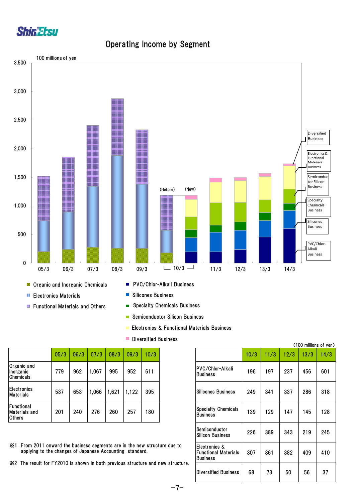

#### Operating Income by Segment



- П Electronics Materials
- **Functional Materials and Others**
- 
- $\overline{\mathbb{R}^n}$ Silicones Business
- $\blacksquare$ Specialty Chemicals Business
- Semiconductor Silicon Business
- Electronics & Functional Materials Business
- **Diversified Business**

779 962 1,067 995 952 611 **198** 1980 1980 1980 1980 1981 197 237 456 601 201 240 276 260 257 180 139 129 147 145 128 226 389 343 219 245 307 361 382 409 410 68 73 50 56 37 Semiconductor Silicon Business Electronics & Functional Materials **Business** Diversified Business PVC/Chlor-Alkali **Business** Silicones Business Specialty Chemicals **Business** 

(100 millions of yen)

- ※1 From 2011 onward the business segments are in the new structure due to applying to the changes of Japanese Accounting standard.
- ※2 The result for FY2010 is shown in both previous structure and new structure.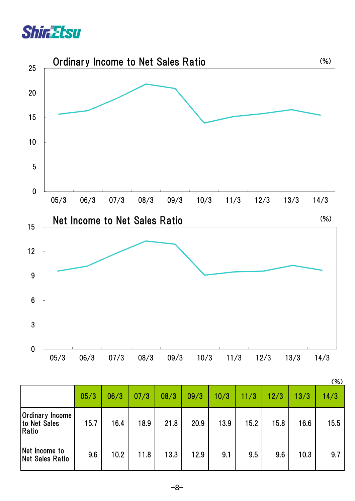



|                                                 |      |      |      |      |      |      |      |      |      | (%)  |
|-------------------------------------------------|------|------|------|------|------|------|------|------|------|------|
|                                                 | 05/3 | 06/3 | 07/3 | 08/3 | 09/3 | 10/3 | 11/3 | 12/3 | 13/3 | 14/3 |
| <b>Ordinary Income</b><br>to Net Sales<br>Ratio | 15.7 | 16.4 | 18.9 | 21.8 | 20.9 | 13.9 | 15.2 | 15.8 | 16.6 | 15.5 |
| Net Income to<br>Net Sales Ratio                | 9.6  | 10.2 | 11.8 | 13.3 | 12.9 | 9.1  | 9.5  | 9.6  | 10.3 | 9.7  |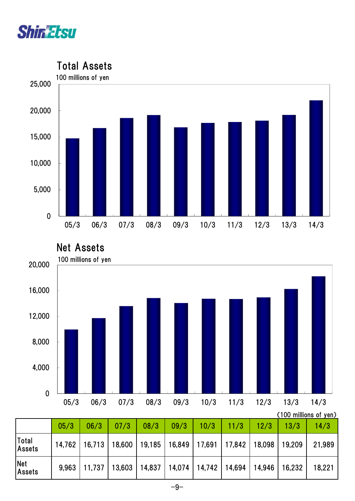



Net Assets



|                             | (100 millions of yen) |                                                                                 |      |      |      |               |  |      |      |        |  |  |
|-----------------------------|-----------------------|---------------------------------------------------------------------------------|------|------|------|---------------|--|------|------|--------|--|--|
|                             | 05/3                  | 06/3                                                                            | 07/3 | 08/3 | 09/3 | $10/3$   11/3 |  | 12/3 | 13/3 | 14/3   |  |  |
| Total<br><b>Assets</b>      |                       | 14,762   16,713   18,600   19,185   16,849   17,691   17,842   18,098   19,209  |      |      |      |               |  |      |      | 21,989 |  |  |
| <b>Net</b><br><b>Assets</b> |                       | $9,963$   11,737   13,603   14,837   14,074   14,742   14,694   14,946   16,232 |      |      |      |               |  |      |      | 18,221 |  |  |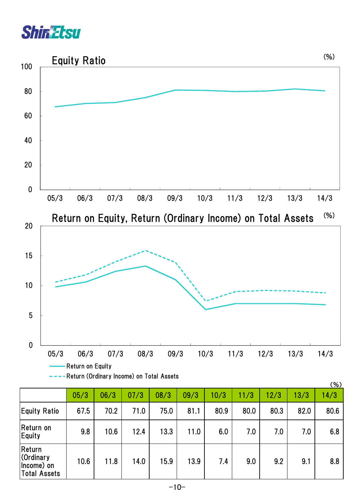



|                                                    |      |      |      |      |      |      |      |      |      | (70) |
|----------------------------------------------------|------|------|------|------|------|------|------|------|------|------|
|                                                    | 05/3 | 06/3 | 07/3 | 08/3 | 09/3 | 10/3 | 11/3 | 12/3 | 13/3 | 14/3 |
| <b>Equity Ratio</b>                                | 67.5 | 70.2 | 71.0 | 75.0 | 81.1 | 80.9 | 80.0 | 80.3 | 82.0 | 80.6 |
| Return on<br>Equity                                | 9.8  | 10.6 | 12.4 | 13.3 | 11.0 | 6.0  | 7.0  | 7.0  | 7.0  | 6.8  |
| Return<br>Cordinary<br>(Income) on<br>Total Assets | 10.6 | 11.8 | 14.0 | 15.9 | 13.9 | 7.4  | 9.0  | 9.2  | 9.1  | 8.8  |